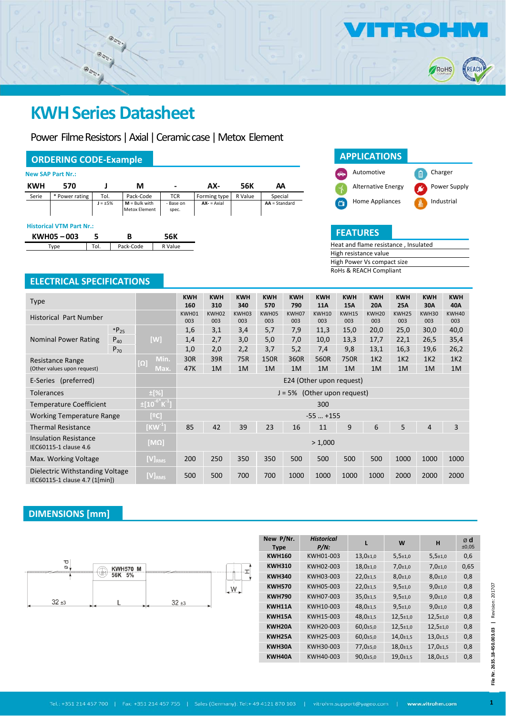

 $\circledcirc_{\mathcal{Z}_{\mathcal{R}}^{\mathcal{P}}}$ 

Power Filme Resistors | Axial | Ceramic case | Metox Element

### **ORDERING CODE‐Example**

|            | <b>New SAP Part Nr.:</b> |              |                                         |                    |              |         |                 |
|------------|--------------------------|--------------|-----------------------------------------|--------------------|--------------|---------|-----------------|
| <b>KWH</b> | 570                      |              | М                                       | $\blacksquare$     | AX-          | 56K     | АΑ              |
| Serie      | * Power rating           | Tol.         | Pack-Code                               | <b>TCR</b>         | Forming type | R Value | Special         |
|            |                          | $J = \pm 5%$ | $M =$ Bulk with<br><b>Metox Element</b> | - Base on<br>spec. | $AX - 2A$    |         | $AA = Standard$ |
|            |                          |              |                                         |                    |              |         |                 |

#### **Historical VTM Part Nr.:**

| KWH05-003 |  |  |
|-----------|--|--|
|           |  |  |



RoHS

REAC

| Heat and flame resistance, Insulated |
|--------------------------------------|
| High resistance value                |
| High Power Vs compact size           |
| RoHs & REACH Compliant               |

## **ELECTRICAL SPECIFICATIONS**

| <b>Type</b>                                                       |                                            |                                                   | <b>KWH</b><br>160 | <b>KWH</b><br>310 | <b>KWH</b><br>340 | <b>KWH</b><br>570 | <b>KWH</b><br>790 | <b>KWH</b><br><b>11A</b> | <b>KWH</b><br>15A | <b>KWH</b><br><b>20A</b> | <b>KWH</b><br><b>25A</b> | <b>KWH</b><br>30A | <b>KWH</b><br>40A |
|-------------------------------------------------------------------|--------------------------------------------|---------------------------------------------------|-------------------|-------------------|-------------------|-------------------|-------------------|--------------------------|-------------------|--------------------------|--------------------------|-------------------|-------------------|
| <b>Historical Part Number</b>                                     |                                            |                                                   | KWH01<br>003      | KWH02<br>003      | KWH03<br>003      | KWH05<br>003      | KWH07<br>003      | <b>KWH10</b><br>003      | KWH15<br>003      | KWH <sub>20</sub><br>003 | KWH25<br>003             | KWH30<br>003      | KWH40<br>003      |
|                                                                   | $*P_{25}$                                  |                                                   | 1,6               | 3,1               | 3,4               | 5,7               | 7,9               | 11,3                     | 15,0              | 20,0                     | 25,0                     | 30,0              | 40,0              |
| <b>Nominal Power Rating</b>                                       | $P_{40}$                                   | [W]                                               | 1,4               | 2,7               | 3,0               | 5,0               | 7,0               | 10,0                     | 13,3              | 17,7                     | 22,1                     | 26,5              | 35,4              |
|                                                                   | $P_{70}$                                   |                                                   | 1,0               | 2,0               | 2,2               | 3,7               | 5,2               | 7,4                      | 9,8               | 13,1                     | 16,3                     | 19,6              | 26,2              |
| Resistance Range                                                  |                                            | Min.<br>$\left[\Omega\right]$                     | 30R               | 39R               | 75R               | 150R              | 360R              | 560R                     | 750R              | 1K <sub>2</sub>          | 1K <sub>2</sub>          | 1K <sub>2</sub>   | 1K <sub>2</sub>   |
| (Other values upon request)                                       |                                            | Max.                                              | 47K               | 1M                | 1M                | 1M                | 1M                | 1M                       | 1M                | 1M                       | 1M                       | 1M                | 1M                |
| E-Series (preferred)                                              |                                            | E24 (Other upon request)                          |                   |                   |                   |                   |                   |                          |                   |                          |                          |                   |                   |
| <b>Tolerances</b>                                                 | $\pm$ [%]<br>$J = 5%$ (Other upon request) |                                                   |                   |                   |                   |                   |                   |                          |                   |                          |                          |                   |                   |
| <b>Temperature Coefficient</b>                                    |                                            | $\sqrt{\pm[10^{-6}}$ K $^{-1}$ ]                  |                   |                   |                   |                   |                   | 300                      |                   |                          |                          |                   |                   |
| <b>Working Temperature Range</b>                                  |                                            | [°C]                                              | $-55$ $+155$      |                   |                   |                   |                   |                          |                   |                          |                          |                   |                   |
| <b>Thermal Resistance</b>                                         |                                            | $\overline{{\mathsf{K}}{\mathsf{W}}^{\text{-}1}}$ | 85                | 42                | 39                | 23                | 16                | 11                       | 9                 | 6                        | 5                        | 4                 | 3                 |
| <b>Insulation Resistance</b><br>IEC60115-1 clause 4.6             |                                            | [MΩ]                                              |                   |                   |                   |                   |                   | > 1,000                  |                   |                          |                          |                   |                   |
| Max. Working Voltage                                              |                                            | $[V]_{RMS}$                                       | 200               | 250               | 350               | 350               | 500               | 500                      | 500               | 500                      | 1000                     | 1000              | 1000              |
| Dielectric Withstanding Voltage<br>IEC60115-1 clause 4.7 (1[min]) |                                            | $[V]_{RMS}$                                       | 500               | 500               | 700               | 700               | 1000              | 1000                     | 1000              | 1000                     | 2000                     | 2000              | 2000              |

### **DIMENSIONS [mm]**



|                         |                 |                       |                                        | New P/Nr.<br><b>Type</b> | <b>Historical</b><br>$P/N$ : |                             | W                           | н                           | ød<br>±0,05 |          |
|-------------------------|-----------------|-----------------------|----------------------------------------|--------------------------|------------------------------|-----------------------------|-----------------------------|-----------------------------|-------------|----------|
|                         |                 |                       |                                        | <b>KWH160</b>            | KWH01-003                    | $13,0{\scriptstyle \pm1,0}$ | $5,5{\scriptstyle \pm1,0}$  | $5,5{\scriptstyle \pm1,0}$  | 0,6         |          |
| $\bf \sigma$<br>$\circ$ | <b>KWH570 M</b> |                       | ᆂ                                      | <b>KWH310</b>            | KWH02-003                    | $18,0{\scriptstyle \pm1,0}$ | $7,0+1,0$                   | $7,0+1,0$                   | 0,65        |          |
|                         | 56K 5%          |                       |                                        | <b>KWH340</b>            | KWH03-003                    | $22,0+1,5$                  | $8,0{\scriptstyle \pm1,0}$  | $8,0{\scriptstyle \pm1,0}$  | 0,8         |          |
|                         |                 |                       | $W_{\bullet}$                          | <b>KWH570</b>            | KWH05-003                    | $22,0+1,5$                  | $9,5{\scriptstyle \pm1,0}$  | $9,0+1,0$                   | 0,8         | 201707   |
| $32 + 3$                |                 |                       |                                        | <b>KWH790</b>            | KWH07-003                    | $35,0{\scriptstyle \pm1,5}$ | $9,5{\scriptstyle \pm1,0}$  | $9,0{\scriptstyle \pm1,0}$  | 0,8         |          |
|                         |                 | $32 + 3$              |                                        | KWH11A                   | KWH10-003                    | $48,0{\scriptstyle \pm1,5}$ | $9,5{\scriptstyle \pm1,0}$  | $9,0+1,0$                   | 0,8         | Revision |
|                         |                 |                       |                                        | KWH15A                   | KWH15-003                    | $48,0{\scriptstyle \pm1,5}$ | $12,5{\scriptstyle \pm1,0}$ | $12,5{\scriptstyle \pm1,0}$ | 0,8         |          |
|                         |                 |                       |                                        | KWH20A                   | KWH20-003                    | $60,0{\scriptstyle \pm}5,0$ | $12,5{\scriptstyle \pm1,0}$ | $12,5{\scriptstyle \pm1,0}$ | 0,8         |          |
|                         |                 |                       |                                        | KWH25A                   | KWH25-003                    | $60,0{\scriptstyle \pm}5,0$ | $14,0{\scriptstyle \pm1,5}$ | $13,0+1,5$                  | 0,8         | 003.03   |
|                         |                 |                       |                                        | KWH30A                   | KWH30-003                    | $77,0{\scriptstyle \pm5,0}$ | $18,0{\scriptstyle \pm1,5}$ | $17,0+1,5$                  | 0,8         |          |
|                         |                 |                       |                                        | KWH40A                   | KWH40-003                    | $90,0{\scriptstyle \pm5,0}$ | $19,0+1,5$                  | $18,0{\scriptstyle \pm1,5}$ | 0,8         |          |
|                         |                 |                       |                                        |                          |                              |                             |                             |                             |             | É        |
| Tel.: +351 214 457 700  |                 | Fax: +351 214 457 755 | Sales (Germany): Tel:+ 49 4121 870 103 |                          |                              | vitrohm.support@yageo.com   |                             | www.vitrohm.com             |             |          |